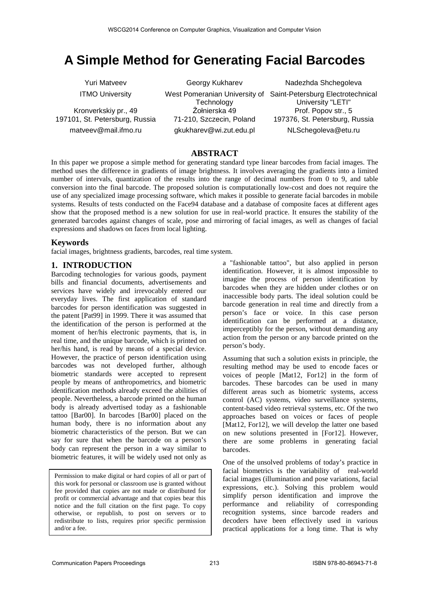# **A Simple Method for Generating Facial Barcodes**

Yuri Matveev ITMO University

Kronverkskiy pr., 49 197101, St. Petersburg, Russia matveev@mail.ifmo.ru

Georgy Kukharev **Technology** Żołnierska 49 71-210, Szczecin, Poland gkukharev@wi.zut.edu.pl

West Pomeranian University of Saint-Petersburg Electrotechnical Nadezhda Shchegoleva University "LETI" Prof. Popov str., 5 197376, St. Petersburg, Russia NLSchegoleva@etu.ru

#### **ABSTRACT**

In this paper we propose a simple method for generating standard type linear barcodes from facial images. The method uses the difference in gradients of image brightness. It involves averaging the gradients into a limited number of intervals, quantization of the results into the range of decimal numbers from 0 to 9, and table conversion into the final barcode. The proposed solution is computationally low-cost and does not require the use of any specialized image processing software, which makes it possible to generate facial barcodes in mobile systems. Results of tests conducted on the Face94 database and a database of composite faces at different ages show that the proposed method is a new solution for use in real-world practice. It ensures the stability of the generated barcodes against changes of scale, pose and mirroring of facial images, as well as changes of facial expressions and shadows on faces from local lighting.

#### **Keywords**

facial images, brightness gradients, barcodes, real time system.

#### **1. INTRODUCTION**

Barcoding technologies for various goods, payment bills and financial documents, advertisements and services have widely and irrevocably entered our everyday lives. The first application of standard barcodes for person identification was suggested in the patent [Pat99] in 1999. There it was assumed that the identification of the person is performed at the moment of her/his electronic payments, that is, in real time, and the unique barcode, which is printed on her/his hand, is read by means of a special device. However, the practice of person identification using barcodes was not developed further, although biometric standards were accepted to represent people by means of anthropometrics, and biometric identification methods already exceed the abilities of people. Nevertheless, a barcode printed on the human body is already advertised today as a fashionable tattoo [Bar00]. In barcodes [Bar00] placed on the human body, there is no information about any biometric characteristics of the person. But we can say for sure that when the barcode on a person's body can represent the person in a way similar to biometric features, it will be widely used not only as

Permission to make digital or hard copies of all or part of this work for personal or classroom use is granted without fee provided that copies are not made or distributed for profit or commercial advantage and that copies bear this notice and the full citation on the first page. To copy otherwise, or republish, to post on servers or to redistribute to lists, requires prior specific permission and/or a fee.

a "fashionable tattoo", but also applied in person identification. However, it is almost impossible to imagine the process of person identification by barcodes when they are hidden under clothes or on inaccessible body parts. The ideal solution could be barcode generation in real time and directly from a person's face or voice. In this case person identification can be performed at a distance, imperceptibly for the person, without demanding any action from the person or any barcode printed on the person's body.

Assuming that such a solution exists in principle, the resulting method may be used to encode faces or voices of people [Mat12, For12] in the form of barcodes. These barcodes can be used in many different areas such as biometric systems, access control (AC) systems, video surveillance systems, content-based video retrieval systems, etc. Of the two approaches based on voices or faces of people [Mat12, For12], we will develop the latter one based on new solutions presented in [For12]. However, there are some problems in generating facial barcodes.

One of the unsolved problems of today's practice in facial biometrics is the variability of real-world facial images (illumination and pose variations, facial expressions, etc.). Solving this problem would simplify person identification and improve the performance and reliability of corresponding recognition systems, since barcode readers and decoders have been effectively used in various practical applications for a long time. That is why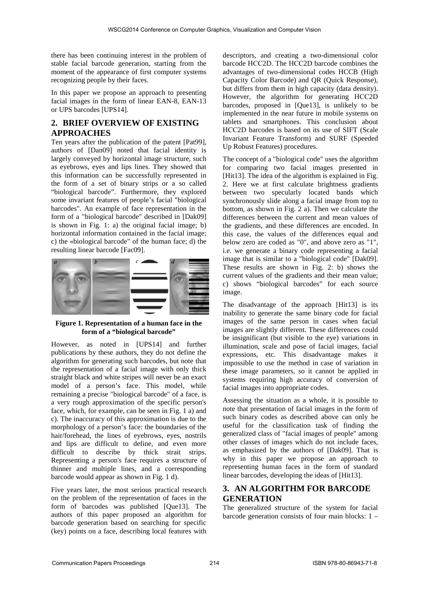there has been continuing interest in the problem of stable facial barcode generation, starting from the moment of the appearance of first computer systems recognizing people by their faces.

In this paper we propose an approach to presenting facial images in the form of linear EAN-8, EAN-13 or UPS barcodes [UPS14].

## **2. BRIEF OVERVIEW OF EXISTING APPROACHES**

Ten years after the publication of the patent [Pat99], authors of [Dan09] noted that facial identity is largely conveyed by horizontal image structure, such as eyebrows, eyes and lips lines. They showed that this information can be successfully represented in the form of a set of binary strips or a so called "biological barcode". Furthermore, they explored some invariant features of people's facial "biological barcodes". An example of face representation in the form of a "biological barcode" described in [Dak09] is shown in Fig. 1: a) the original facial image; b) horizontal information contained in the facial image; c) the «biological barcode" of the human face; d) the resulting linear barcode [Fac09].



**Figure 1. Representation of a human face in the form of a "biological barcode"** 

However, as noted in [UPS14] and further publications by these authors, they do not define the algorithm for generating such barcodes, but note that the representation of a facial image with only thick straight black and white stripes will never be an exact model of a person's face. This model, while remaining a precise "biological barcode" of a face, is a very rough approximation of the specific person's face, which, for example, can be seen in Fig. 1 a) and c). The inaccuracy of this approximation is due to the morphology of a person's face: the boundaries of the hair/forehead, the lines of eyebrows, eyes, nostrils and lips are difficult to define, and even more difficult to describe by thick strait strips. Representing a person's face requires a structure of thinner and multiple lines, and a corresponding barcode would appear as shown in Fig. 1 d).

Five years later, the most serious practical research on the problem of the representation of faces in the form of barcodes was published [Que13]. The authors of this paper proposed an algorithm for barcode generation based on searching for specific (key) points on a face, describing local features with

descriptors, and creating a two-dimensional color barcode НСС2D. The НСС2D barcode combines the advantages of two-dimensional codes HCCB (High Capacity Color Barcode) and QR (Quick Response), but differs from them in high capacity (data density). However, the algorithm for generating НСС2D barcodes, proposed in [Que13], is unlikely to be implemented in the near future in mobile systems on tablets and smartphones. This conclusion about НСС2D barcodes is based on its use of SIFT (Scale Invariant Feature Transform) and SURF (Speeded Up Robust Features) procedures.

The concept of a "biological code" uses the algorithm for comparing two facial images presented in [Hit13]. The idea of the algorithm is explained in Fig. 2. Here we at first calculate brightness gradients between two specularly located bands which synchronously slide along a facial image from top to bottom, as shown in Fig. 2 a). Then we calculate the differences between the current and mean values of the gradients, and these differences are encoded. In this case, the values of the differences equal and below zero are coded as "0", and above zero as "1", i.e. we generate a binary code representing a facial image that is similar to a "biological code" [Dak09]. These results are shown in Fig. 2: b) shows the current values of the gradients and their mean value; c) shows "biological barcodes" for each source image.

The disadvantage of the approach [Hit13] is its inability to generate the same binary code for facial images of the same person in cases when facial images are slightly different. These differences could be insignificant (but visible to the eye) variations in illumination, scale and pose of facial images, facial expressions, etc. This disadvantage makes it impossible to use the method in case of variation in these image parameters, so it cannot be applied in systems requiring high accuracy of conversion of facial images into appropriate codes.

Assessing the situation as a whole, it is possible to note that presentation of facial images in the form of such binary codes as described above can only be useful for the classification task of finding the generalized class of "facial images of people" among other classes of images which do not include faces, as emphasized by the authors of [Dak09]. That is why in this paper we propose an approach to representing human faces in the form of standard linear barcodes, developing the ideas of [Hit13].

# **3. AN ALGORITHM FOR BARCODE GENERATION**

The generalized structure of the system for facial barcode generation consists of four main blocks: 1 –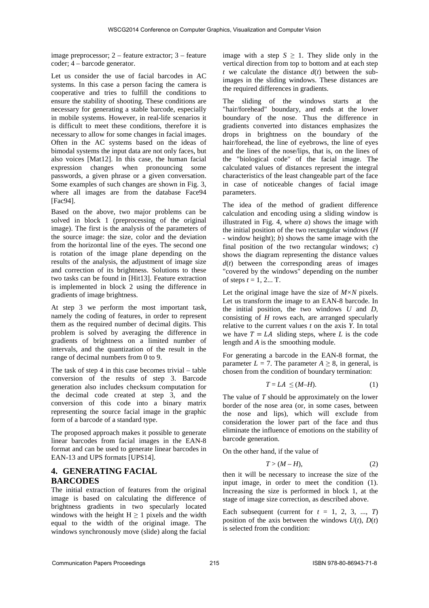image preprocessor; 2 – feature extractor; 3 – feature coder; 4 – barcode generator.

Let us consider the use of facial barcodes in AC systems. In this case a person facing the camera is cooperative and tries to fulfill the conditions to ensure the stability of shooting. These conditions are necessary for generating a stable barcode, especially in mobile systems. However, in real-life scenarios it is difficult to meet these conditions, therefore it is necessary to allow for some changes in facial images. Often in the AC systems based on the ideas of bimodal systems the input data are not only faces, but also voices [Mat12]. In this case, the human facial expression changes when pronouncing some passwords, a given phrase or a given conversation. Some examples of such changes are shown in Fig. 3, where all images are from the database Face94 [Fac94].

Based on the above, two major problems can be solved in block 1 (preprocessing of the original image). The first is the analysis of the parameters of the source image: the size, color and the deviation from the horizontal line of the eyes. The second one is rotation of the image plane depending on the results of the analysis, the adjustment of image size and correction of its brightness. Solutions to these two tasks can be found in [Hit13]. Feature extraction is implemented in block 2 using the difference in gradients of image brightness.

At step 3 we perform the most important task, namely the coding of features, in order to represent them as the required number of decimal digits. This problem is solved by averaging the difference in gradients of brightness on a limited number of intervals, and the quantization of the result in the range of decimal numbers from 0 to 9.

The task of step 4 in this case becomes trivial – table conversion of the results of step 3. Barcode generation also includes checksum computation for the decimal code created at step 3, and the conversion of this code into a binary matrix representing the source facial image in the graphic form of a barcode of a standard type.

The proposed approach makes it possible to generate linear barcodes from facial images in the EAN-8 format and can be used to generate linear barcodes in EAN-13 and UPS formats [UPS14].

# **4. GENERATING FACIAL BARCODES**

The initial extraction of features from the original image is based on calculating the difference of brightness gradients in two specularly located windows with the height  $H > 1$  pixels and the width equal to the width of the original image. The windows synchronously move (slide) along the facial

image with a step  $S \geq 1$ . They slide only in the vertical direction from top to bottom and at each step *t* we calculate the distance  $d(t)$  between the subimages in the sliding windows. These distances are the required differences in gradients.

The sliding of the windows starts at the "hair/forehead" boundary, and ends at the lower boundary of the nose. Thus the difference in gradients converted into distances emphasizes the drops in brightness on the boundary of the hair/forehead, the line of eyebrows, the line of eyes and the lines of the nose/lips, that is, on the lines of the "biological code" of the facial image. The calculated values of distances represent the integral characteristics of the least changeable part of the face in case of noticeable changes of facial image parameters.

The idea of the method of gradient difference calculation and encoding using a sliding window is illustrated in Fig. 4, where *a*) shows the image with the initial position of the two rectangular windows (*H* - window height); *b*) shows the same image with the final position of the two rectangular windows; *c*) shows the diagram representing the distance values  $d(t)$  between the corresponding areas of images "covered by the windows" depending on the number of steps  $t = 1, 2...$  T.

Let the original image have the size of *M×N* pixels. Let us transform the image to an EAN-8 barcode. In the initial position, the two windows *U* and *D*, consisting of *H* rows each, are arranged specularly relative to the current values *t* on the axis *Y*. In total we have  $T = LA$  sliding steps, where *L* is the code length and *A* is the smoothing module.

For generating a barcode in the EAN-8 format, the parameter  $L = 7$ . The parameter  $A \geq 8$ , in general, is chosen from the condition of boundary termination:

$$
T = LA \leq (M-H). \tag{1}
$$

The value of *T* should be approximately on the lower border of the nose area (or, in some cases, between the nose and lips), which will exclude from consideration the lower part of the face and thus eliminate the influence of emotions on the stability of barcode generation.

On the other hand, if the value of

$$
T > (M - H), \tag{2}
$$

then it will be necessary to increase the size of the input image, in order to meet the condition (1). Increasing the size is performed in block 1, at the stage of image size correction, as described above.

Each subsequent (current for  $t = 1, 2, 3, \ldots, T$ ) position of the axis between the windows  $U(t)$ ,  $D(t)$ is selected from the condition: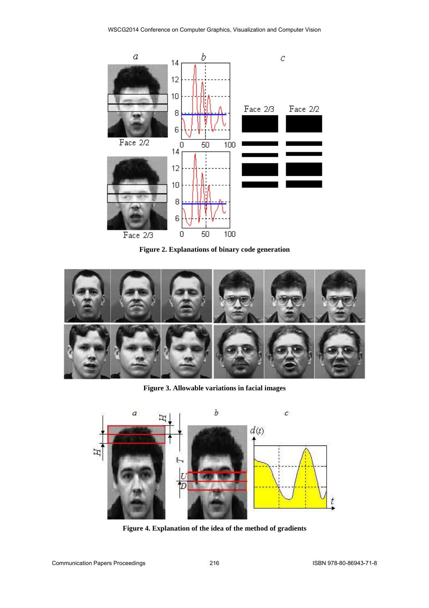

**Figure 2. Explanations of binary code generation** 



**Figure 3. Allowable variations in facial images** 



**Figure 4. Explanation of the idea of the method of gradients**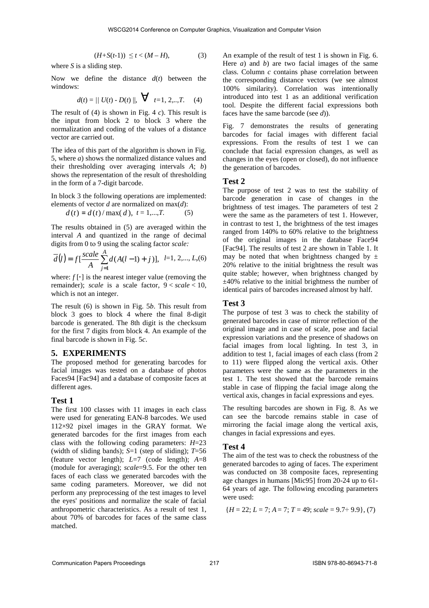$$
(H+S(t-1))\leq t < (M-H),\tag{3}
$$

where *S* is a sliding step.

Now we define the distance *d*(*t*) between the windows:

$$
d(t) = || U(t) - D(t) ||, \quad \nabla \quad t = 1, 2, ..., T. \tag{4}
$$

The result of (4) is shown in Fig. 4 *c*). This result is the input from block 2 to block 3 where the normalization and coding of the values of a distance vector are carried out.

The idea of this part of the algorithm is shown in Fig. 5, where *a*) shows the normalized distance values and their thresholding over averaging intervals *A*; *b*) shows the representation of the result of thresholding in the form of a 7-digit barcode.

In block 3 the following operations are implemented: elements of vector *d* are normalized on max(*d*):  $d(t) = d(t) / \max(d), t = 1,...,T.$  (5)

The results obtained in (5) are averaged within the interval *A* and quantized in the range of decimal digits from 0 tо 9 using the scaling factor *scale:*

$$
\overline{d}(l) = f\left[\frac{scale}{A} \sum_{j=1}^{A} d(A(l-1) + j)\right], \ \ l=1, 2, \ldots, L, (6)
$$

where:  $f[\cdot]$  is the nearest integer value (removing the remainder); *scale* is a scale factor,  $9 < scale < 10$ , which is not an integer.

The result (6) is shown in Fig. 5*b*. This result from block 3 goes to block 4 where the final 8-digit barcode is generated. The 8th digit is the checksum for the first 7 digits from block 4. An example of the final barcode is shown in Fig. 5*c*.

#### **5. EXPERIMENTS**

The proposed method for generating barcodes for facial images was tested on a database of photos Faces94 [Fac94] and a database of composite faces at different ages.

#### **Test 1**

The first 100 classes with 11 images in each class were used for generating EAN-8 barcodes. We used 112×92 pixel images in the GRAY format. We generated barcodes for the first images from each class with the following coding parameters: *H*=23 (width of sliding bands); *S*=1 (step of sliding); *T*=56 (feature vector length); *L*=7 (code length); *A*=8 (module for averaging); *scale*=9.5. For the other ten faces of each class we generated barcodes with the same coding parameters. Moreover, we did not perform any preprocessing of the test images to level the eyes' positions and normalize the scale of facial anthropometric characteristics. As a result of test 1, about 70% of barcodes for faces of the same class matched.

An example of the result of test 1 is shown in Fig. 6. Here *a*) and *b*) are two facial images of the same class. Column *c* contains phase correlation between the corresponding distance vectors (we see almost 100% similarity). Correlation was intentionally introduced into test 1 as an additional verification tool. Despite the different facial expressions both faces have the same barcode (see *d*)).

Fig. 7 demonstrates the results of generating barcodes for facial images with different facial expressions. From the results of test 1 we can conclude that facial expression changes, as well as changes in the eyes (open or closed), do not influence the generation of barcodes.

#### **Test 2**

The purpose of test 2 was to test the stability of barcode generation in case of changes in the brightness of test images. The parameters of test 2 were the same as the parameters of test 1. However, in contrast to test 1, the brightness of the test images ranged from 140% to 60% relative to the brightness of the original images in the database Face94 [Fac94]. The results of test 2 are shown in Table 1. It may be noted that when brightness changed by  $\pm$ 20% relative to the initial brightness the result was quite stable; however, when brightness changed by  $\pm$ 40% relative to the initial brightness the number of identical pairs of barcodes increased almost by half.

#### **Test 3**

The purpose of test 3 was to check the stability of generated barcodes in case of mirror reflection of the original image and in case of scale, pose and facial expression variations and the presence of shadows on facial images from local lighting. In test 3, in addition to test 1, facial images of each class (from 2 to 11) were flipped along the vertical axis. Other parameters were the same as the parameters in the test 1. The test showed that the barcode remains stable in case of flipping the facial image along the vertical axis, changes in facial expressions and eyes.

The resulting barcodes are shown in Fig. 8. As we can see the barcode remains stable in case of mirroring the facial image along the vertical axis, changes in facial expressions and eyes.

#### **Test 4**

The aim of the test was to check the robustness of the generated barcodes to aging of faces. The experiment was conducted on 38 composite faces, representing age changes in humans [Mic95] from 20-24 up to 61- 64 years of age. The following encoding parameters were used:

$$
{H = 22; L = 7; A = 7; T = 49; scale = 9.7 \div 9.9},
$$
 (7)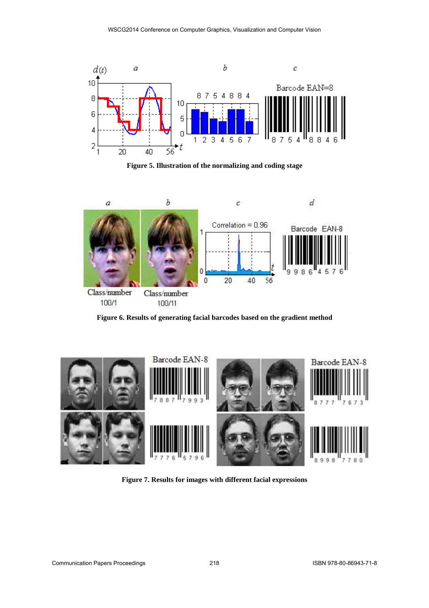

**Figure 5. Illustration of the normalizing and coding stage** 



**Figure 6. Results of generating facial barcodes based on the gradient method** 



**Figure 7. Results for images with different facial expressions**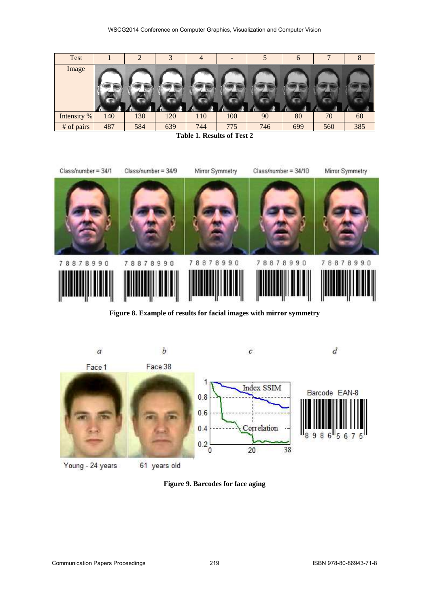| Test        |     | 2   |     | 4   |     |     | $\mathbf{b}$ |     |     |
|-------------|-----|-----|-----|-----|-----|-----|--------------|-----|-----|
| Image       |     |     |     |     |     |     |              |     |     |
|             |     |     |     |     |     |     |              |     |     |
|             |     |     |     |     |     |     |              |     |     |
|             |     |     |     |     |     |     |              |     |     |
|             |     |     |     |     |     |     |              |     |     |
| Intensity % | 140 | 130 | 120 | 110 | 100 | 90  | 80           | 70  | 60  |
| # of pairs  | 487 | 584 | 639 | 744 | 775 | 746 | 699          | 560 | 385 |

**Table 1. Results of Test 2** 



**Figure 8. Example of results for facial images with mirror symmetry** 



Young - 24 years

61 years old

**Figure 9. Barcodes for face aging**